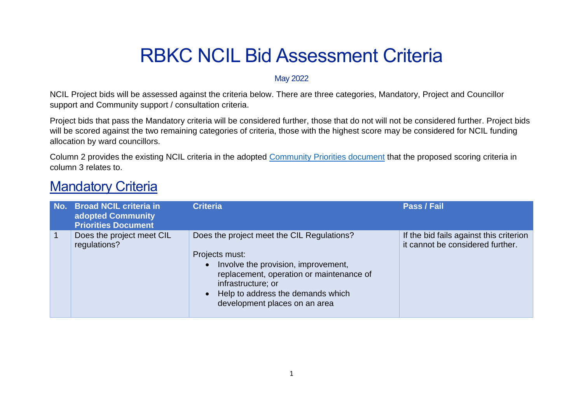# RBKC NCIL Bid Assessment Criteria

#### May 2022

NCIL Project bids will be assessed against the criteria below. There are three categories, Mandatory, Project and Councillor support and Community support / consultation criteria.

Project bids that pass the Mandatory criteria will be considered further, those that do not will not be considered further. Project bids will be scored against the two remaining categories of criteria, those with the highest score may be considered for NCIL funding allocation by ward councillors.

Column 2 provides the existing NCIL criteria in the adopted [Community Priorities document](https://www.rbkc.gov.uk/media/document/ncil-community-priorities) that the proposed scoring criteria in column 3 relates to.

### **Mandatory Criteria**

| No. Broad NCIL criteria in<br>adopted Community<br><b>Priorities Document</b> | <b>Criteria</b>                                                                                                                                                                                                                                            | Pass / Fail                                                                 |
|-------------------------------------------------------------------------------|------------------------------------------------------------------------------------------------------------------------------------------------------------------------------------------------------------------------------------------------------------|-----------------------------------------------------------------------------|
| Does the project meet CIL<br>regulations?                                     | Does the project meet the CIL Regulations?<br>Projects must:<br>Involve the provision, improvement,<br>$\bullet$<br>replacement, operation or maintenance of<br>infrastructure; or<br>• Help to address the demands which<br>development places on an area | If the bid fails against this criterion<br>it cannot be considered further. |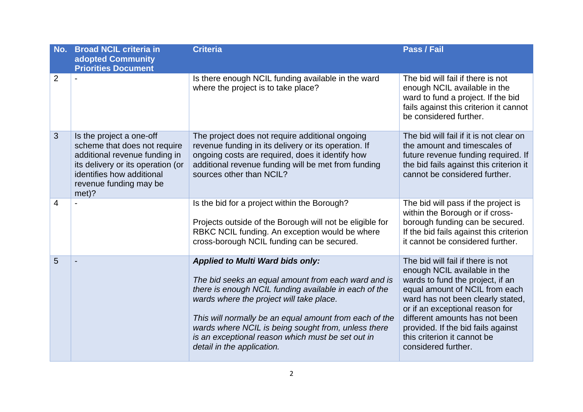| No.            | <b>Broad NCIL criteria in</b><br>adopted Community<br><b>Priorities Document</b>                                                                                                               | <b>Criteria</b>                                                                                                                                                                                                                                                                                                                                                                                         | Pass / Fail                                                                                                                                                                                                                                                                                                                                   |
|----------------|------------------------------------------------------------------------------------------------------------------------------------------------------------------------------------------------|---------------------------------------------------------------------------------------------------------------------------------------------------------------------------------------------------------------------------------------------------------------------------------------------------------------------------------------------------------------------------------------------------------|-----------------------------------------------------------------------------------------------------------------------------------------------------------------------------------------------------------------------------------------------------------------------------------------------------------------------------------------------|
| $\overline{2}$ |                                                                                                                                                                                                | Is there enough NCIL funding available in the ward<br>where the project is to take place?                                                                                                                                                                                                                                                                                                               | The bid will fail if there is not<br>enough NCIL available in the<br>ward to fund a project. If the bid<br>fails against this criterion it cannot<br>be considered further.                                                                                                                                                                   |
| 3              | Is the project a one-off<br>scheme that does not require<br>additional revenue funding in<br>its delivery or its operation (or<br>identifies how additional<br>revenue funding may be<br>met)? | The project does not require additional ongoing<br>revenue funding in its delivery or its operation. If<br>ongoing costs are required, does it identify how<br>additional revenue funding will be met from funding<br>sources other than NCIL?                                                                                                                                                          | The bid will fail if it is not clear on<br>the amount and timescales of<br>future revenue funding required. If<br>the bid fails against this criterion it<br>cannot be considered further.                                                                                                                                                    |
| 4              |                                                                                                                                                                                                | Is the bid for a project within the Borough?<br>Projects outside of the Borough will not be eligible for<br>RBKC NCIL funding. An exception would be where<br>cross-borough NCIL funding can be secured.                                                                                                                                                                                                | The bid will pass if the project is<br>within the Borough or if cross-<br>borough funding can be secured.<br>If the bid fails against this criterion<br>it cannot be considered further.                                                                                                                                                      |
| 5              |                                                                                                                                                                                                | <b>Applied to Multi Ward bids only:</b><br>The bid seeks an equal amount from each ward and is<br>there is enough NCIL funding available in each of the<br>wards where the project will take place.<br>This will normally be an equal amount from each of the<br>wards where NCIL is being sought from, unless there<br>is an exceptional reason which must be set out in<br>detail in the application. | The bid will fail if there is not<br>enough NCIL available in the<br>wards to fund the project, if an<br>equal amount of NCIL from each<br>ward has not been clearly stated,<br>or if an exceptional reason for<br>different amounts has not been<br>provided. If the bid fails against<br>this criterion it cannot be<br>considered further. |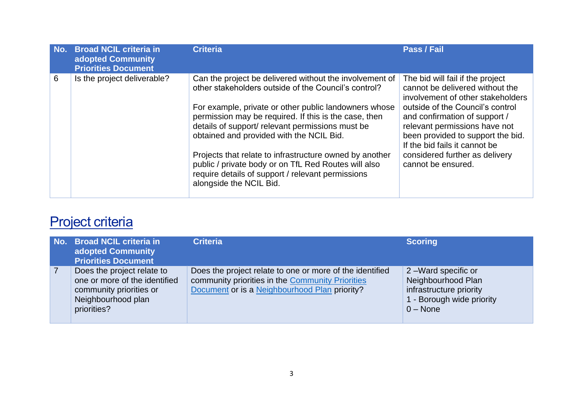| No. | <b>Broad NCIL criteria in</b><br>adopted Community<br><b>Priorities Document</b> | <b>Criteria</b>                                                                                                                                                                                                                                                                                                                                                                                                                                                                                                                      | Pass / Fail                                                                                                                                                                                                                                                                                                                                  |
|-----|----------------------------------------------------------------------------------|--------------------------------------------------------------------------------------------------------------------------------------------------------------------------------------------------------------------------------------------------------------------------------------------------------------------------------------------------------------------------------------------------------------------------------------------------------------------------------------------------------------------------------------|----------------------------------------------------------------------------------------------------------------------------------------------------------------------------------------------------------------------------------------------------------------------------------------------------------------------------------------------|
| 6   | Is the project deliverable?                                                      | Can the project be delivered without the involvement of<br>other stakeholders outside of the Council's control?<br>For example, private or other public landowners whose<br>permission may be required. If this is the case, then<br>details of support/ relevant permissions must be<br>obtained and provided with the NCIL Bid.<br>Projects that relate to infrastructure owned by another<br>public / private body or on TfL Red Routes will also<br>require details of support / relevant permissions<br>alongside the NCIL Bid. | The bid will fail if the project<br>cannot be delivered without the<br>involvement of other stakeholders<br>outside of the Council's control<br>and confirmation of support /<br>relevant permissions have not<br>been provided to support the bid.<br>If the bid fails it cannot be<br>considered further as delivery<br>cannot be ensured. |

# Project criteria

| No. Broad NCIL criteria in<br>adopted Community<br><b>Priorities Document</b>                                               | <b>Criteria</b>                                                                                                                                               | <b>Scoring</b>                                                                                                 |
|-----------------------------------------------------------------------------------------------------------------------------|---------------------------------------------------------------------------------------------------------------------------------------------------------------|----------------------------------------------------------------------------------------------------------------|
| Does the project relate to<br>one or more of the identified<br>community priorities or<br>Neighbourhood plan<br>priorities? | Does the project relate to one or more of the identified<br>community priorities in the Community Priorities<br>Document or is a Neighbourhood Plan priority? | 2-Ward specific or<br>Neighbourhood Plan<br>infrastructure priority<br>1 - Borough wide priority<br>$0 - None$ |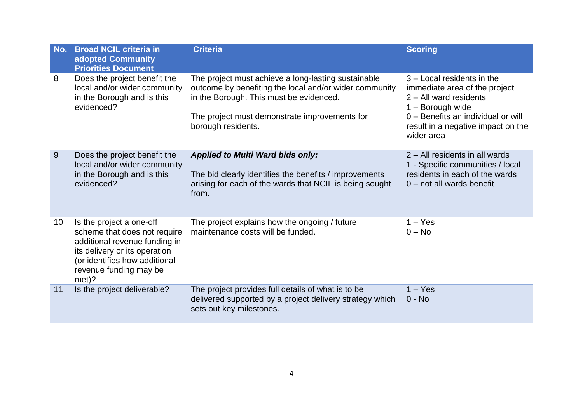| No. | <b>Broad NCIL criteria in</b><br>adopted Community<br><b>Priorities Document</b>                                                                                                               | <b>Criteria</b>                                                                                                                                                                                                                 | <b>Scoring</b>                                                                                                                                                                                          |
|-----|------------------------------------------------------------------------------------------------------------------------------------------------------------------------------------------------|---------------------------------------------------------------------------------------------------------------------------------------------------------------------------------------------------------------------------------|---------------------------------------------------------------------------------------------------------------------------------------------------------------------------------------------------------|
| 8   | Does the project benefit the<br>local and/or wider community<br>in the Borough and is this<br>evidenced?                                                                                       | The project must achieve a long-lasting sustainable<br>outcome by benefiting the local and/or wider community<br>in the Borough. This must be evidenced.<br>The project must demonstrate improvements for<br>borough residents. | 3 - Local residents in the<br>immediate area of the project<br>$2 - All$ ward residents<br>$1 -$ Borough wide<br>0 - Benefits an individual or will<br>result in a negative impact on the<br>wider area |
| 9   | Does the project benefit the<br>local and/or wider community<br>in the Borough and is this<br>evidenced?                                                                                       | <b>Applied to Multi Ward bids only:</b><br>The bid clearly identifies the benefits / improvements<br>arising for each of the wards that NCIL is being sought<br>from.                                                           | 2 – All residents in all wards<br>1 - Specific communities / local<br>residents in each of the wards<br>$0$ – not all wards benefit                                                                     |
| 10  | Is the project a one-off<br>scheme that does not require<br>additional revenue funding in<br>its delivery or its operation<br>(or identifies how additional<br>revenue funding may be<br>met)? | The project explains how the ongoing / future<br>maintenance costs will be funded.                                                                                                                                              | $1 - Yes$<br>$0 - No$                                                                                                                                                                                   |
| 11  | Is the project deliverable?                                                                                                                                                                    | The project provides full details of what is to be<br>delivered supported by a project delivery strategy which<br>sets out key milestones.                                                                                      | $1 - Yes$<br>$0 - No$                                                                                                                                                                                   |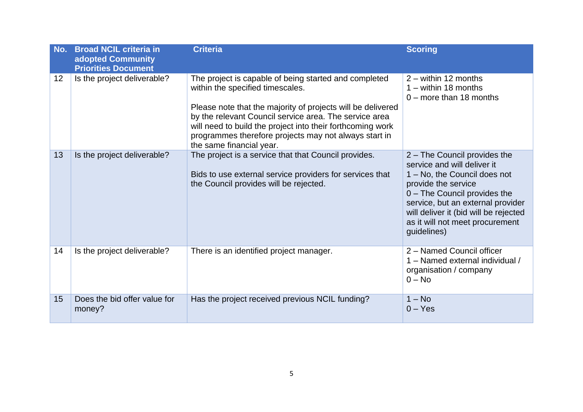| No. | <b>Broad NCIL criteria in</b><br>adopted Community<br><b>Priorities Document</b> | <b>Criteria</b>                                                                                                                                                                                                                                                                                                                                                       | <b>Scoring</b>                                                                                                                                                                                                                                                                     |
|-----|----------------------------------------------------------------------------------|-----------------------------------------------------------------------------------------------------------------------------------------------------------------------------------------------------------------------------------------------------------------------------------------------------------------------------------------------------------------------|------------------------------------------------------------------------------------------------------------------------------------------------------------------------------------------------------------------------------------------------------------------------------------|
| 12  | Is the project deliverable?                                                      | The project is capable of being started and completed<br>within the specified timescales.<br>Please note that the majority of projects will be delivered<br>by the relevant Council service area. The service area<br>will need to build the project into their forthcoming work<br>programmes therefore projects may not always start in<br>the same financial year. | $2 -$ within 12 months<br>$1 -$ within 18 months<br>$0$ – more than 18 months                                                                                                                                                                                                      |
| 13  | Is the project deliverable?                                                      | The project is a service that that Council provides.<br>Bids to use external service providers for services that<br>the Council provides will be rejected.                                                                                                                                                                                                            | 2 - The Council provides the<br>service and will deliver it<br>1 – No, the Council does not<br>provide the service<br>0 - The Council provides the<br>service, but an external provider<br>will deliver it (bid will be rejected<br>as it will not meet procurement<br>guidelines) |
| 14  | Is the project deliverable?                                                      | There is an identified project manager.                                                                                                                                                                                                                                                                                                                               | 2 - Named Council officer<br>1 - Named external individual /<br>organisation / company<br>$0 - No$                                                                                                                                                                                 |
| 15  | Does the bid offer value for<br>money?                                           | Has the project received previous NCIL funding?                                                                                                                                                                                                                                                                                                                       | $1 - No$<br>$0 - Yes$                                                                                                                                                                                                                                                              |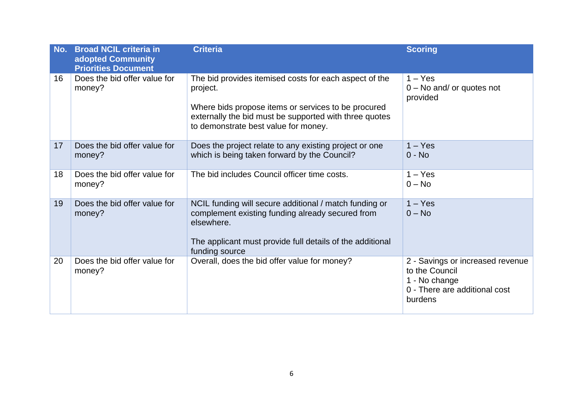| No. | <b>Broad NCIL criteria in</b><br>adopted Community<br><b>Priorities Document</b> | <b>Criteria</b>                                                                                                                                                                                                             | <b>Scoring</b>                                                                                                  |
|-----|----------------------------------------------------------------------------------|-----------------------------------------------------------------------------------------------------------------------------------------------------------------------------------------------------------------------------|-----------------------------------------------------------------------------------------------------------------|
| 16  | Does the bid offer value for<br>money?                                           | The bid provides itemised costs for each aspect of the<br>project.<br>Where bids propose items or services to be procured<br>externally the bid must be supported with three quotes<br>to demonstrate best value for money. | $1 - Yes$<br>$0 - No$ and/ or quotes not<br>provided                                                            |
| 17  | Does the bid offer value for<br>money?                                           | Does the project relate to any existing project or one<br>which is being taken forward by the Council?                                                                                                                      | $1 - Yes$<br>$0 - No$                                                                                           |
| 18  | Does the bid offer value for<br>money?                                           | The bid includes Council officer time costs.                                                                                                                                                                                | $1 - Yes$<br>$0 - No$                                                                                           |
| 19  | Does the bid offer value for<br>money?                                           | NCIL funding will secure additional / match funding or<br>complement existing funding already secured from<br>elsewhere.<br>The applicant must provide full details of the additional<br>funding source                     | $1 - Yes$<br>$0 - No$                                                                                           |
| 20  | Does the bid offer value for<br>money?                                           | Overall, does the bid offer value for money?                                                                                                                                                                                | 2 - Savings or increased revenue<br>to the Council<br>1 - No change<br>0 - There are additional cost<br>burdens |